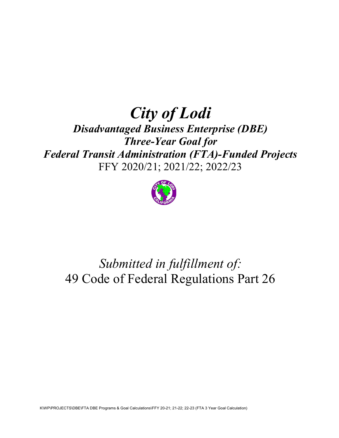## City of Lodi Disadvantaged Business Enterprise (DBE) Three-Year Goal for Federal Transit Administration (FTA)-Funded Projects

FFY 2020/21; 2021/22; 2022/23



# Submitted in fulfillment of: 49 Code of Federal Regulations Part 26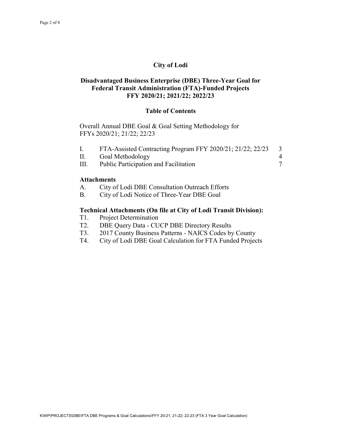## City of Lodi

### Disadvantaged Business Enterprise (DBE) Three-Year Goal for Federal Transit Administration (FTA)-Funded Projects FFY 2020/21; 2021/22; 2022/23

#### Table of Contents

Overall Annual DBE Goal & Goal Setting Methodology for FFYs 2020/21; 21/22; 22/23

|      | FTA-Assisted Contracting Program FFY 2020/21; 21/22; 22/23 |  |
|------|------------------------------------------------------------|--|
| II.  | Goal Methodology                                           |  |
| III. | Public Participation and Facilitation                      |  |

#### **Attachments**

- A. City of Lodi DBE Consultation Outreach Efforts
- B. City of Lodi Notice of Three-Year DBE Goal

#### Technical Attachments (On file at City of Lodi Transit Division):

- T1. Project Determination
- T2. DBE Query Data CUCP DBE Directory Results
- T3. 2017 County Business Patterns NAICS Codes by County
- T4. City of Lodi DBE Goal Calculation for FTA Funded Projects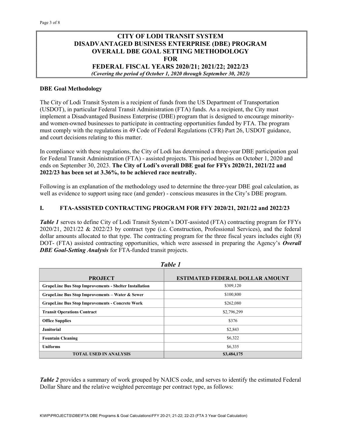## CITY OF LODI TRANSIT SYSTEM DISADVANTAGED BUSINESS ENTERPRISE (DBE) PROGRAM OVERALL DBE GOAL SETTING METHODOLOGY FOR

FEDERAL FISCAL YEARS 2020/21; 2021/22; 2022/23 (Covering the period of October 1, 2020 through September 30, 2023)

#### DBE Goal Methodology

The City of Lodi Transit System is a recipient of funds from the US Department of Transportation (USDOT), in particular Federal Transit Administration (FTA) funds. As a recipient, the City must implement a Disadvantaged Business Enterprise (DBE) program that is designed to encourage minorityand women-owned businesses to participate in contracting opportunities funded by FTA. The program must comply with the regulations in 49 Code of Federal Regulations (CFR) Part 26, USDOT guidance, and court decisions relating to this matter.

In compliance with these regulations, the City of Lodi has determined a three-year DBE participation goal for Federal Transit Administration (FTA) - assisted projects. This period begins on October 1, 2020 and ends on September 30, 2023. The City of Lodi's overall DBE goal for FFYs 2020/21, 2021/22 and 2022/23 has been set at 3.36%, to be achieved race neutrally.

Following is an explanation of the methodology used to determine the three-year DBE goal calculation, as well as evidence to support using race (and gender) - conscious measures in the City's DBE program.

#### I. FTA-ASSISTED CONTRACTING PROGRAM FOR FFY 2020/21, 2021/22 and 2022/23

Table 1 serves to define City of Lodi Transit System's DOT-assisted (FTA) contracting program for FFYs 2020/21, 2021/22 & 2022/23 by contract type (i.e. Construction, Professional Services), and the federal dollar amounts allocated to that type. The contracting program for the three fiscal years includes eight (8) DOT- (FTA) assisted contracting opportunities, which were assessed in preparing the Agency's Overall **DBE Goal-Setting Analysis** for FTA-funded transit projects.

| <b>PROJECT</b>                                                | <b>ESTIMATED FEDERAL DOLLAR AMOUNT</b> |  |  |
|---------------------------------------------------------------|----------------------------------------|--|--|
| <b>GrapeLine Bus Stop Improvements - Shelter Installation</b> | \$309,120                              |  |  |
| <b>GrapeLine Bus Stop Improvements - Water &amp; Sewer</b>    | \$100,800                              |  |  |
| <b>GrapeLine Bus Stop Improvements - Concrete Work</b>        | \$262,080                              |  |  |
| <b>Transit Operations Contract</b>                            | \$2,796,299                            |  |  |
| <b>Office Supplies</b>                                        | \$376                                  |  |  |
| <b>Janitorial</b>                                             | \$2,843                                |  |  |
| <b>Fountain Cleaning</b>                                      | \$6,322                                |  |  |
| <b>Uniforms</b>                                               | \$6,335                                |  |  |
| <b>TOTAL USED IN ANALYSIS</b>                                 | \$3,484,175                            |  |  |

Table 1

Table 2 provides a summary of work grouped by NAICS code, and serves to identify the estimated Federal Dollar Share and the relative weighted percentage per contract type, as follows: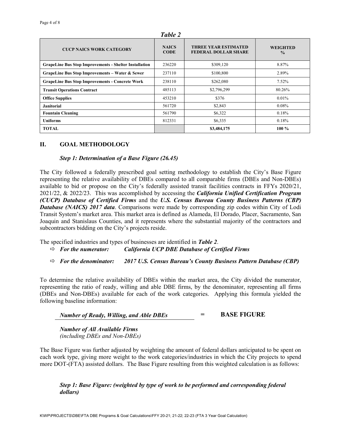| <b>CUCP NAICS WORK CATEGORY</b>                               | <b>NAICS</b><br><b>CODE</b> | <b>THREE YEAR ESTIMATED</b><br><b>FEDERAL DOLLAR SHARE</b> | <b>WEIGHTED</b><br>$\frac{0}{0}$ |  |
|---------------------------------------------------------------|-----------------------------|------------------------------------------------------------|----------------------------------|--|
| <b>GrapeLine Bus Stop Improvements - Shelter Installation</b> | 236220                      | \$309,120                                                  | 8.87%                            |  |
| GrapeLine Bus Stop Improvements - Water & Sewer               | 237110                      | \$100,800                                                  | 2.89%                            |  |
| <b>GrapeLine Bus Stop Improvements - Concrete Work</b>        | 238110                      | \$262,080                                                  | 7.52%                            |  |
| <b>Transit Operations Contract</b>                            | 485113                      | \$2,796,299                                                | 80.26%                           |  |
| <b>Office Supplies</b>                                        | 453210                      | \$376                                                      | 0.01%                            |  |
| <b>Janitorial</b>                                             | 561720                      | \$2,843                                                    | 0.08%                            |  |
| <b>Fountain Cleaning</b>                                      | 561790                      | \$6,322                                                    | 0.18%                            |  |
| <b>Uniforms</b>                                               | 812331                      | \$6,335                                                    | 0.18%                            |  |
| <b>TOTAL</b>                                                  |                             | \$3,484,175                                                | $100\%$                          |  |

Table 2

#### II. GOAL METHODOLOGY

#### Step 1: Determination of a Base Figure (26.45)

The City followed a federally prescribed goal setting methodology to establish the City's Base Figure representing the relative availability of DBEs compared to all comparable firms (DBEs and Non-DBEs) available to bid or propose on the City's federally assisted transit facilities contracts in FFYs 2020/21, 2021/22, & 2022/23. This was accomplished by accessing the *California Unified Certification Program* (CUCP) Database of Certified Firms and the U.S. Census Bureau County Business Patterns (CBP) Database (NAICS) 2017 data. Comparisons were made by corresponding zip codes within City of Lodi Transit System's market area. This market area is defined as Alameda, El Dorado, Placer, Sacramento, San Joaquin and Stanislaus Counties, and it represents where the substantial majority of the contractors and subcontractors bidding on the City's projects reside.

The specified industries and types of businesses are identified in **Table 2.** 

- $\Rightarrow$  For the numerator: California UCP DBE Database of Certified Firms
- $\Rightarrow$  For the denominator: 2017 U.S. Census Bureau's County Business Pattern Database (CBP)

To determine the relative availability of DBEs within the market area, the City divided the numerator, representing the ratio of ready, willing and able DBE firms, by the denominator, representing all firms (DBEs and Non-DBEs) available for each of the work categories. Applying this formula yielded the following baseline information:

Number of Ready, Willing, and Able DBEs  $=$  BASE FIGURE

 Number of All Available Firms (including DBEs and Non-DBEs)

The Base Figure was further adjusted by weighting the amount of federal dollars anticipated to be spent on each work type, giving more weight to the work categories/industries in which the City projects to spend more DOT-(FTA) assisted dollars. The Base Figure resulting from this weighted calculation is as follows:

Step 1: Base Figure: (weighted by type of work to be performed and corresponding federal dollars)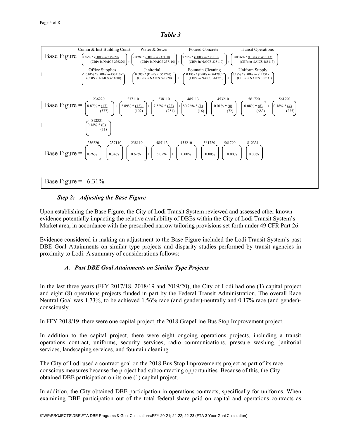Table 3



#### Step 2: Adjusting the Base Figure

Upon establishing the Base Figure, the City of Lodi Transit System reviewed and assessed other known evidence potentially impacting the relative availability of DBEs within the City of Lodi Transit System's Market area, in accordance with the prescribed narrow tailoring provisions set forth under 49 CFR Part 26.

Evidence considered in making an adjustment to the Base Figure included the Lodi Transit System's past DBE Goal Attainments on similar type projects and disparity studies performed by transit agencies in proximity to Lodi. A summary of considerations follows:

#### A. Past DBE Goal Attainments on Similar Type Projects

In the last three years (FFY 2017/18, 2018/19 and 2019/20), the City of Lodi had one (1) capital project and eight (8) operations projects funded in part by the Federal Transit Administration. The overall Race Neutral Goal was 1.73%, to be achieved 1.56% race (and gender)-neutrally and 0.17% race (and gender) consciously.

In FFY 2018/19, there were one capital project, the 2018 GrapeLine Bus Stop Improvement project.

In addition to the capital project, there were eight ongoing operations projects, including a transit operations contract, uniforms, security services, radio communications, pressure washing, janitorial services, landscaping services, and fountain cleaning.

The City of Lodi used a contract goal on the 2018 Bus Stop Improvements project as part of its race conscious measures because the project had subcontracting opportunities. Because of this, the City obtained DBE participation on its one (1) capital project.

In addition, the City obtained DBE participation in operations contracts, specifically for uniforms. When examining DBE participation out of the total federal share paid on capital and operations contracts as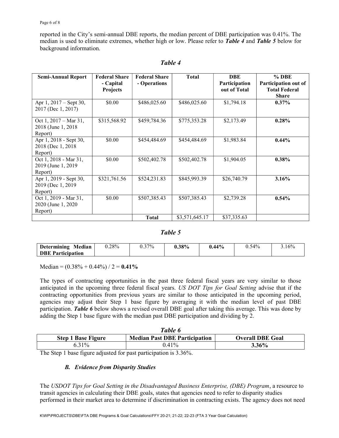#### Page 6 of 8

reported in the City's semi-annual DBE reports, the median percent of DBE participation was 0.41%. The median is used to eliminate extremes, whether high or low. Please refer to **Table 4** and **Table 5** below for background information.

| <b>Semi-Annual Report</b>                                          | <b>Federal Share</b><br>- Capital<br><b>Projects</b> | <b>Federal Share</b><br>- Operations | <b>Total</b>   | DBE<br>Participation<br>out of Total | % DBE<br>Participation out of<br><b>Total Federal</b><br><b>Share</b> |
|--------------------------------------------------------------------|------------------------------------------------------|--------------------------------------|----------------|--------------------------------------|-----------------------------------------------------------------------|
| Apr $1, 2017$ – Sept 30,<br>2017 (Dec 1, 2017)                     | \$0.00                                               | \$486,025.60                         | \$486,025.60   | \$1,794.18                           | $0.37\%$                                                              |
| Oct 1, $2017 - \text{Mar } 31$ ,<br>2018 (June 1, 2018)<br>Report) | \$315,568.92                                         | \$459,784.36                         | \$775,353.28   | \$2,173.49                           | 0.28%                                                                 |
| Apr 1, 2018 - Sept 30,<br>2018 (Dec 1, 2018)<br>Report)            | \$0.00                                               | \$454,484.69                         | \$454,484.69   | \$1,983.84                           | $0.44\%$                                                              |
| Oct 1, 2018 - Mar 31,<br>2019 (June 1, 2019)<br>Report)            | \$0.00                                               | \$502,402.78                         | \$502,402.78   | \$1,904.05                           | $0.38\%$                                                              |
| Apr 1, 2019 - Sept 30,<br>2019 (Dec 1, 2019)<br>Report)            | \$321,761.56                                         | \$524,231.83                         | \$845,993.39   | \$26,740.79                          | 3.16%                                                                 |
| Oct 1, 2019 - Mar 31,<br>2020 (June 1, 2020)<br>Report)            | \$0.00                                               | \$507,385.43                         | \$507,385.43   | \$2,739.28                           | 0.54%                                                                 |
|                                                                    |                                                      | <b>Total</b>                         | \$3,571,645.17 | \$37,335.63                          |                                                                       |

### Table 4

#### Table 5

| Median<br><b>Determining</b> | 0.28% | 37% | $0.38\%$ | $.44\%$ | $0.54\%$ | $1.16\%$ |
|------------------------------|-------|-----|----------|---------|----------|----------|
| <b>DBE Participation</b>     |       |     |          |         |          |          |

Median =  $(0.38\% + 0.44\%) / 2 = 0.41\%$ 

The types of contracting opportunities in the past three federal fiscal years are very similar to those anticipated in the upcoming three federal fiscal years. US DOT Tips for Goal Setting advise that if the contracting opportunities from previous years are similar to those anticipated in the upcoming period, agencies may adjust their Step 1 base figure by averaging it with the median level of past DBE participation. **Table 6** below shows a revised overall DBE goal after taking this average. This was done by adding the Step 1 base figure with the median past DBE participation and dividing by 2.

| Table 6                   |                                      |                         |  |  |
|---------------------------|--------------------------------------|-------------------------|--|--|
| <b>Step 1 Base Figure</b> | <b>Median Past DBE Participation</b> | <b>Overall DBE Goal</b> |  |  |
| $0.31\%$                  | $0.41\%$                             | 3.36%                   |  |  |

The Step 1 base figure adjusted for past participation is 3.36%.

#### B. Evidence from Disparity Studies

The USDOT Tips for Goal Setting in the Disadvantaged Business Enterprise, (DBE) Program, a resource to transit agencies in calculating their DBE goals, states that agencies need to refer to disparity studies performed in their market area to determine if discrimination in contracting exists. The agency does not need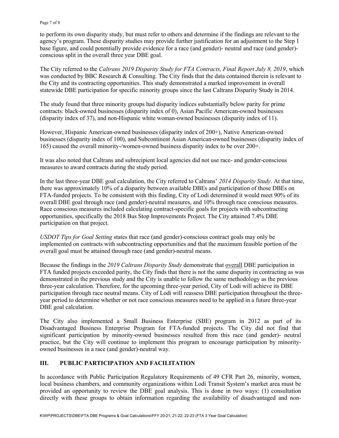to perform its own disparity study, but must refer to others and determine if the findings are relevant to the agency's program. These disparity studies may provide further justification for an adjustment to the Step 1 base figure, and could potentially provide evidence for a race (and gender)- neutral and race (and gender) conscious split in the overall three year DBE goal.

The City referred to the Caltrans 2019 Disparity Study for FTA Contracts, Final Report July 8, 2019, which was conducted by BBC Research & Consulting. The City finds that the data contained therein is relevant to the City and its contracting opportunities. This study demonstrated a marked improvement in overall statewide DBE participation for specific minority groups since the last Caltrans Disparity Study in 2014.

The study found that three minority groups had disparity indices substantially below parity for prime contracts: black-owned businesses (disparity index of 0), Asian Pacific American-owned businesses (disparity index of 37), and non-Hispanic white woman-owned businesses (disparity index of 11).

However, Hispanic American-owned businesses (disparity index of 200+), Native American-owned businesses (disparity index of 100), and Subcontinent Asian American-owned businesses (disparity index of 165) caused the overall minority-/women-owned business disparity index to be over 200+.

It was also noted that Caltrans and subrecipient local agencies did not use race- and gender-conscious measures to award contracts during the study period.

In the last three-year DBE goal calculation, the City referred to Caltrans' 2014 Disparity Study. At that time, there was approximately 10% of a disparity between available DBEs and participation of those DBEs on FTA-funded projects. To be consistent with this finding, City of Lodi determined it would meet 90% of its overall DBE goal through race (and gender)-neutral measures, and 10% through race conscious measures. Race conscious measures included calculating contract-specific goals for projects with subcontracting opportunities, specifically the 2018 Bus Stop Improvements Project. The City attained 7.4% DBE participation on that project.

USDOT Tips for Goal Setting states that race (and gender)-conscious contract goals may only be implemented on contracts with subcontracting opportunities and that the maximum feasible portion of the overall goal must be attained through race (and gender)-neutral means.

Because the findings in the 2019 Caltrans Disparity Study demonstrate that overall DBE participation in FTA funded projects exceeded parity, the City finds that there is not the same disparity in contracting as was demonstrated in the previous study and the City is unable to follow the same methodology as the previous three-year calculation. Therefore, for the upcoming three-year period, City of Lodi will achieve its DBE participation through race neutral means. City of Lodi will reassess DBE participation throughout the threeyear period to determine whether or not race conscious measures need to be applied in a future three-year DBE goal calculation.

The City also implemented a Small Business Enterprise (SBE) program in 2012 as part of its Disadvantaged Business Enterprise Program for FTA-funded projects. The City did not find that significant participation by minority-owned businesses resulted from this race (and gender)- neutral practice, but the City will continue to implement this program to encourage participation by minorityowned businesses in a race (and gender)-neutral way.

#### III. PUBLIC PARTICIPATION AND FACILITATION

In accordance with Public Participation Regulatory Requirements of 49 CFR Part 26, minority, women, local business chambers, and community organizations within Lodi Transit System's market area must be provided an opportunity to review the DBE goal analysis. This is done in two ways: (1) consultation directly with these groups to obtain information regarding the availability of disadvantaged and non-